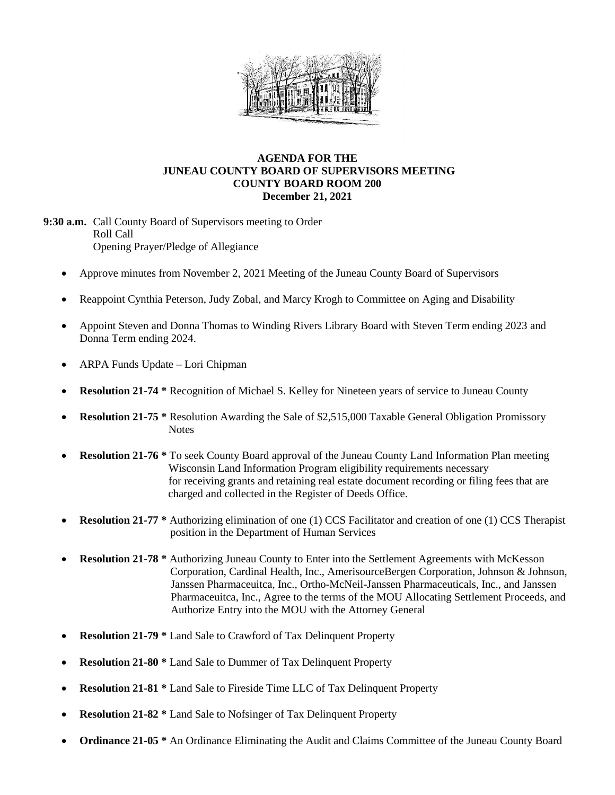

## **AGENDA FOR THE JUNEAU COUNTY BOARD OF SUPERVISORS MEETING COUNTY BOARD ROOM 200 December 21, 2021**

**9:30 a.m.** Call County Board of Supervisors meeting to Order Roll Call Opening Prayer/Pledge of Allegiance

- Approve minutes from November 2, 2021 Meeting of the Juneau County Board of Supervisors
- Reappoint Cynthia Peterson, Judy Zobal, and Marcy Krogh to Committee on Aging and Disability
- Appoint Steven and Donna Thomas to Winding Rivers Library Board with Steven Term ending 2023 and Donna Term ending 2024.
- ARPA Funds Update Lori Chipman
- **Resolution 21-74 \*** Recognition of Michael S. Kelley for Nineteen years of service to Juneau County
- **Resolution 21-75 \*** Resolution Awarding the Sale of \$2,515,000 Taxable General Obligation Promissory **Notes**
- **Resolution 21-76 \*** To seek County Board approval of the Juneau County Land Information Plan meeting Wisconsin Land Information Program eligibility requirements necessary for receiving grants and retaining real estate document recording or filing fees that are charged and collected in the Register of Deeds Office.
- **Resolution 21-77 \*** Authorizing elimination of one (1) CCS Facilitator and creation of one (1) CCS Therapist position in the Department of Human Services
- **Resolution 21-78 \*** Authorizing Juneau County to Enter into the Settlement Agreements with McKesson Corporation, Cardinal Health, Inc., AmerisourceBergen Corporation, Johnson & Johnson, Janssen Pharmaceuitca, Inc., Ortho-McNeil-Janssen Pharmaceuticals, Inc., and Janssen Pharmaceuitca, Inc., Agree to the terms of the MOU Allocating Settlement Proceeds, and Authorize Entry into the MOU with the Attorney General
- **Resolution 21-79 \*** Land Sale to Crawford of Tax Delinquent Property
- **Resolution 21-80 \*** Land Sale to Dummer of Tax Delinquent Property
- **Resolution 21-81 \*** Land Sale to Fireside Time LLC of Tax Delinquent Property
- **Resolution 21-82** \* Land Sale to Nofsinger of Tax Delinquent Property
- **Ordinance 21-05 \*** An Ordinance Eliminating the Audit and Claims Committee of the Juneau County Board